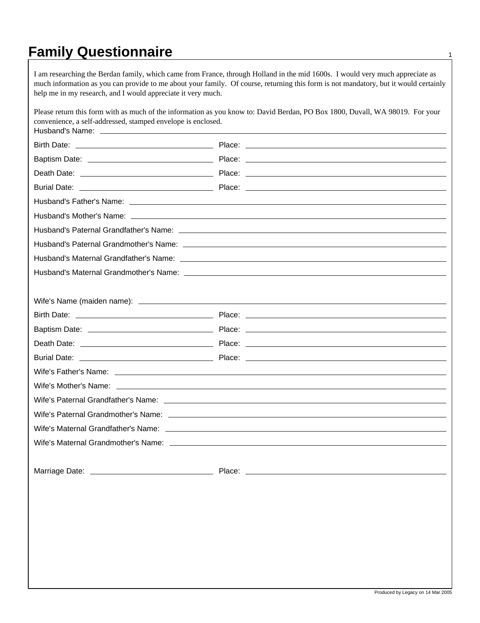## **Family Questionnaire** <sup>1</sup>

I am researching the Berdan family, which came from France, through Holland in the mid 1600s. I would very much appreciate as much information as you can provide to me about your family. Of course, returning this form is not mandatory, but it would certainly help me in my research, and I would appreciate it very much.

| convenience, a self-addressed, stamped envelope is enclosed. | Please return this form with as much of the information as you know to: David Berdan, PO Box 1800, Duvall, WA 98019. For your                                                                                                        |
|--------------------------------------------------------------|--------------------------------------------------------------------------------------------------------------------------------------------------------------------------------------------------------------------------------------|
|                                                              |                                                                                                                                                                                                                                      |
|                                                              |                                                                                                                                                                                                                                      |
|                                                              |                                                                                                                                                                                                                                      |
|                                                              |                                                                                                                                                                                                                                      |
|                                                              |                                                                                                                                                                                                                                      |
|                                                              | Husband's Father's Name: <u>experience</u> and the set of the set of the set of the set of the set of the set of the set of the set of the set of the set of the set of the set of the set of the set of the set of the set of the   |
|                                                              | Husband's Mother's Name: <u>Name: Name and School and School and School and School and School and School and School and School and School and School and School and School and School and School and School and School and Schoo</u> |
|                                                              |                                                                                                                                                                                                                                      |
|                                                              |                                                                                                                                                                                                                                      |
|                                                              |                                                                                                                                                                                                                                      |
|                                                              |                                                                                                                                                                                                                                      |
|                                                              |                                                                                                                                                                                                                                      |
|                                                              |                                                                                                                                                                                                                                      |
|                                                              |                                                                                                                                                                                                                                      |
|                                                              |                                                                                                                                                                                                                                      |
|                                                              |                                                                                                                                                                                                                                      |
|                                                              |                                                                                                                                                                                                                                      |
|                                                              | Wife's Mother's Name: <u>contract the contract of the contract of the contract of the contract of the contract of the contract of the contract of the contract of the contract of the contract of the contract of the contract o</u> |
|                                                              |                                                                                                                                                                                                                                      |
|                                                              |                                                                                                                                                                                                                                      |
|                                                              |                                                                                                                                                                                                                                      |
|                                                              |                                                                                                                                                                                                                                      |
|                                                              |                                                                                                                                                                                                                                      |
|                                                              |                                                                                                                                                                                                                                      |
|                                                              |                                                                                                                                                                                                                                      |
|                                                              |                                                                                                                                                                                                                                      |
|                                                              |                                                                                                                                                                                                                                      |
|                                                              |                                                                                                                                                                                                                                      |
|                                                              |                                                                                                                                                                                                                                      |
|                                                              |                                                                                                                                                                                                                                      |
|                                                              |                                                                                                                                                                                                                                      |
|                                                              |                                                                                                                                                                                                                                      |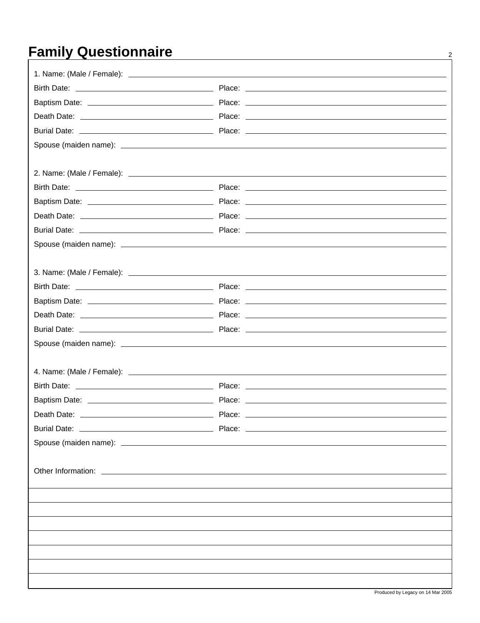## **Family Questionnaire** 2

| Death Date:                                                                                                                                                                                                                          | Place: |
|--------------------------------------------------------------------------------------------------------------------------------------------------------------------------------------------------------------------------------------|--------|
|                                                                                                                                                                                                                                      |        |
|                                                                                                                                                                                                                                      |        |
|                                                                                                                                                                                                                                      |        |
| Other Information: <u>example and the set of the set of the set of the set of the set of the set of the set of the set of the set of the set of the set of the set of the set of the set of the set of the set of the set of the</u> |        |
|                                                                                                                                                                                                                                      |        |
|                                                                                                                                                                                                                                      |        |
|                                                                                                                                                                                                                                      |        |
|                                                                                                                                                                                                                                      |        |
|                                                                                                                                                                                                                                      |        |
|                                                                                                                                                                                                                                      |        |
|                                                                                                                                                                                                                                      |        |
|                                                                                                                                                                                                                                      |        |